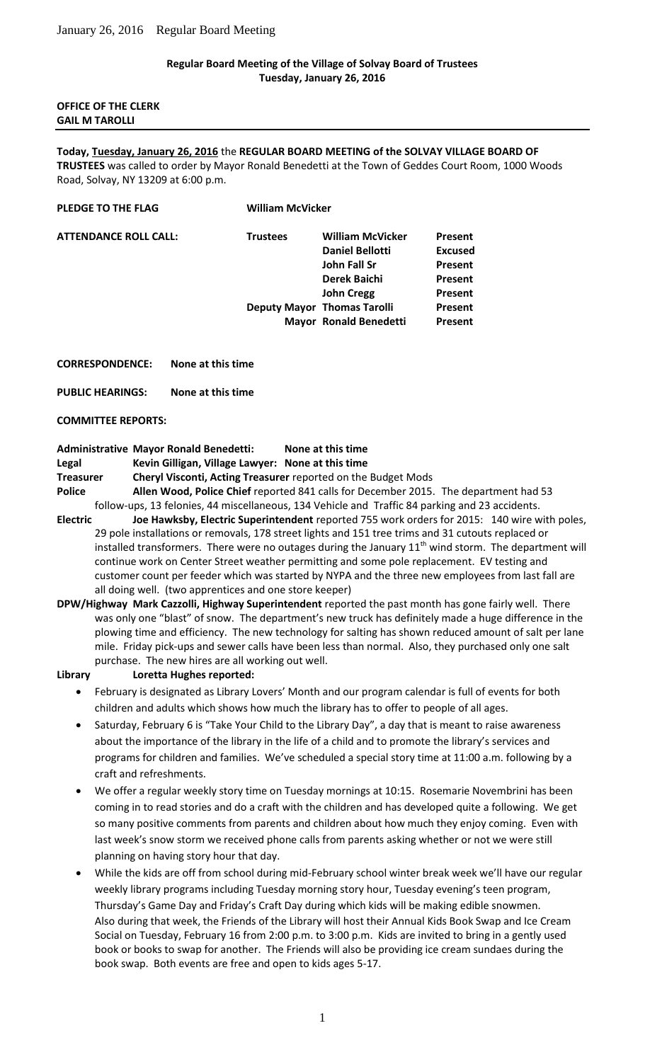## **Regular Board Meeting of the Village of Solvay Board of Trustees Tuesday, January 26, 2016**

#### **OFFICE OF THE CLERK GAIL M TAROLLI**

#### **Today, Tuesday, January 26, 2016** the **REGULAR BOARD MEETING of the SOLVAY VILLAGE BOARD OF**

**TRUSTEES** was called to order by Mayor Ronald Benedetti at the Town of Geddes Court Room, 1000 Woods Road, Solvay, NY 13209 at 6:00 p.m.

#### **PLEDGE TO THE FLAG William McVicker**

| <b>ATTENDANCE ROLL CALL:</b> | <b>Trustees</b> | <b>William McVicker</b>            | Present        |
|------------------------------|-----------------|------------------------------------|----------------|
|                              |                 | <b>Daniel Bellotti</b>             | <b>Excused</b> |
|                              |                 | John Fall Sr                       | Present        |
|                              |                 | Derek Baichi                       | Present        |
|                              |                 | <b>John Cregg</b>                  | Present        |
|                              |                 | <b>Deputy Mayor Thomas Tarolli</b> | Present        |
|                              |                 | Mayor Ronald Benedetti             | Present        |

**CORRESPONDENCE: None at this time**

**PUBLIC HEARINGS: None at this time**

**COMMITTEE REPORTS:**

## **Administrative Mayor Ronald Benedetti: None at this time**

**Legal Kevin Gilligan, Village Lawyer: None at this time**

**Treasurer Cheryl Visconti, Acting Treasurer** reported on the Budget Mods

**Police Allen Wood, Police Chief** reported 841 calls for December 2015. The department had 53 follow-ups, 13 felonies, 44 miscellaneous, 134 Vehicle and Traffic 84 parking and 23 accidents.

- **Electric Joe Hawksby, Electric Superintendent** reported 755 work orders for 2015: 140 wire with poles, 29 pole installations or removals, 178 street lights and 151 tree trims and 31 cutouts replaced or installed transformers. There were no outages during the January  $11<sup>th</sup>$  wind storm. The department will continue work on Center Street weather permitting and some pole replacement. EV testing and customer count per feeder which was started by NYPA and the three new employees from last fall are all doing well. (two apprentices and one store keeper)
- **DPW/Highway Mark Cazzolli, Highway Superintendent** reported the past month has gone fairly well. There was only one "blast" of snow. The department's new truck has definitely made a huge difference in the plowing time and efficiency. The new technology for salting has shown reduced amount of salt per lane mile. Friday pick-ups and sewer calls have been less than normal. Also, they purchased only one salt purchase. The new hires are all working out well.

- **Library Loretta Hughes reported:**
	- February is designated as Library Lovers' Month and our program calendar is full of events for both children and adults which shows how much the library has to offer to people of all ages.
	- Saturday, February 6 is "Take Your Child to the Library Day", a day that is meant to raise awareness about the importance of the library in the life of a child and to promote the library's services and programs for children and families. We've scheduled a special story time at 11:00 a.m. following by a craft and refreshments.
	- We offer a regular weekly story time on Tuesday mornings at 10:15. Rosemarie Novembrini has been coming in to read stories and do a craft with the children and has developed quite a following. We get so many positive comments from parents and children about how much they enjoy coming. Even with last week's snow storm we received phone calls from parents asking whether or not we were still planning on having story hour that day.
	- While the kids are off from school during mid-February school winter break week we'll have our regular weekly library programs including Tuesday morning story hour, Tuesday evening's teen program, Thursday's Game Day and Friday's Craft Day during which kids will be making edible snowmen. Also during that week, the Friends of the Library will host their Annual Kids Book Swap and Ice Cream Social on Tuesday, February 16 from 2:00 p.m. to 3:00 p.m. Kids are invited to bring in a gently used book or books to swap for another. The Friends will also be providing ice cream sundaes during the book swap. Both events are free and open to kids ages 5-17.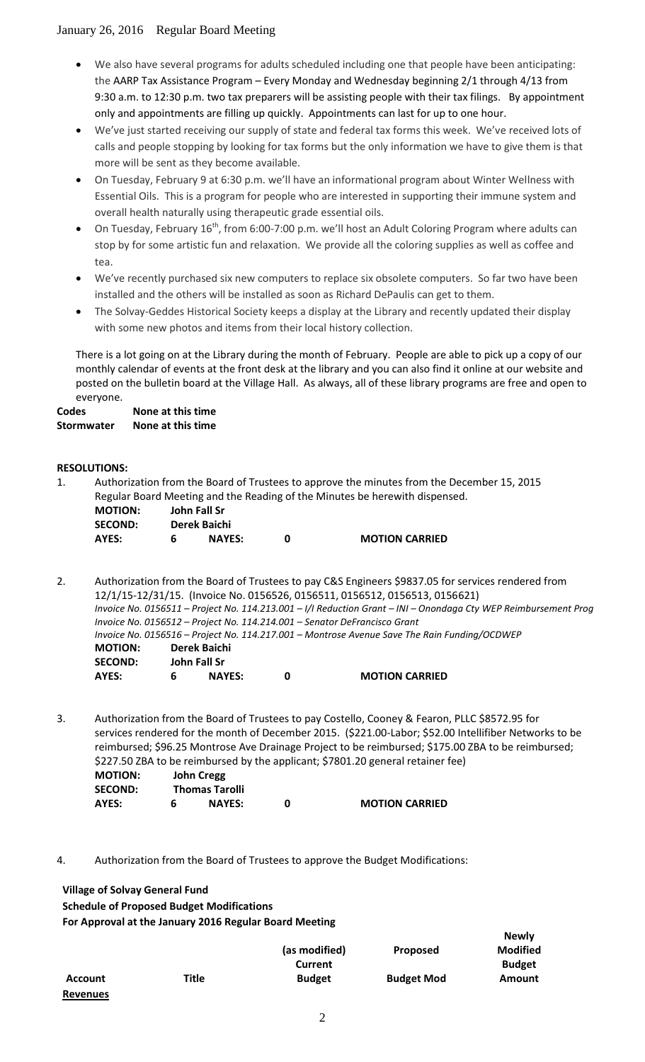- We also have several programs for adults scheduled including one that people have been anticipating: the AARP Tax Assistance Program – Every Monday and Wednesday beginning 2/1 through 4/13 from 9:30 a.m. to 12:30 p.m. two tax preparers will be assisting people with their tax filings. By appointment only and appointments are filling up quickly. Appointments can last for up to one hour.
- We've just started receiving our supply of state and federal tax forms this week. We've received lots of calls and people stopping by looking for tax forms but the only information we have to give them is that more will be sent as they become available.
- On Tuesday, February 9 at 6:30 p.m. we'll have an informational program about Winter Wellness with Essential Oils. This is a program for people who are interested in supporting their immune system and overall health naturally using therapeutic grade essential oils.
- On Tuesday, February 16<sup>th</sup>, from 6:00-7:00 p.m. we'll host an Adult Coloring Program where adults can stop by for some artistic fun and relaxation. We provide all the coloring supplies as well as coffee and tea.
- We've recently purchased six new computers to replace six obsolete computers. So far two have been installed and the others will be installed as soon as Richard DePaulis can get to them.
- The Solvay-Geddes Historical Society keeps a display at the Library and recently updated their display with some new photos and items from their local history collection.

There is a lot going on at the Library during the month of February. People are able to pick up a copy of our monthly calendar of events at the front desk at the library and you can also find it online at our website and posted on the bulletin board at the Village Hall. As always, all of these library programs are free and open to everyone.

**Codes None at this time Stormwater None at this time**

# **RESOLUTIONS:**

1. Authorization from the Board of Trustees to approve the minutes from the December 15, 2015 Regular Board Meeting and the Reading of the Minutes be herewith dispensed. **MOTION: John Fall Sr**

| <b>SECOND:</b> | Derek Baichi  |                       |
|----------------|---------------|-----------------------|
| AYES:          | <b>NAYES:</b> | <b>MOTION CARRIED</b> |

2. Authorization from the Board of Trustees to pay C&S Engineers \$9837.05 for services rendered from 12/1/15-12/31/15. (Invoice No. 0156526, 0156511, 0156512, 0156513, 0156621) *Invoice No. 0156511 – Project No. 114.213.001 – I/I Reduction Grant – INI – Onondaga Cty WEP Reimbursement Prog Invoice No. 0156512 – Project No. 114.214.001 – Senator DeFrancisco Grant Invoice No. 0156516 – Project No. 114.217.001 – Montrose Avenue Save The Rain Funding/OCDWEP* **MOTION: Derek Baichi SECOND: John Fall Sr AYES: 6 NAYES: 0 MOTION CARRIED**

3. Authorization from the Board of Trustees to pay Costello, Cooney & Fearon, PLLC \$8572.95 for services rendered for the month of December 2015. (\$221.00-Labor; \$52.00 Intellifiber Networks to be reimbursed; \$96.25 Montrose Ave Drainage Project to be reimbursed; \$175.00 ZBA to be reimbursed; \$227.50 ZBA to be reimbursed by the applicant; \$7801.20 general retainer fee)

| <b>MOTION:</b> | <b>John Cregg</b>     |                       |
|----------------|-----------------------|-----------------------|
| <b>SECOND:</b> | <b>Thomas Tarolli</b> |                       |
| AYES:          | <b>NAYES:</b>         | <b>MOTION CARRIED</b> |

4. Authorization from the Board of Trustees to approve the Budget Modifications:

**Village of Solvay General Fund**

**Schedule of Proposed Budget Modifications**

**For Approval at the January 2016 Regular Board Meeting**

|                 |              |               |                   | . <b>.</b>      |
|-----------------|--------------|---------------|-------------------|-----------------|
|                 |              | (as modified) | <b>Proposed</b>   | <b>Modified</b> |
|                 |              | Current       |                   | <b>Budget</b>   |
| <b>Account</b>  | <b>Title</b> | <b>Budget</b> | <b>Budget Mod</b> | Amount          |
| <b>Revenues</b> |              |               |                   |                 |

**Newly**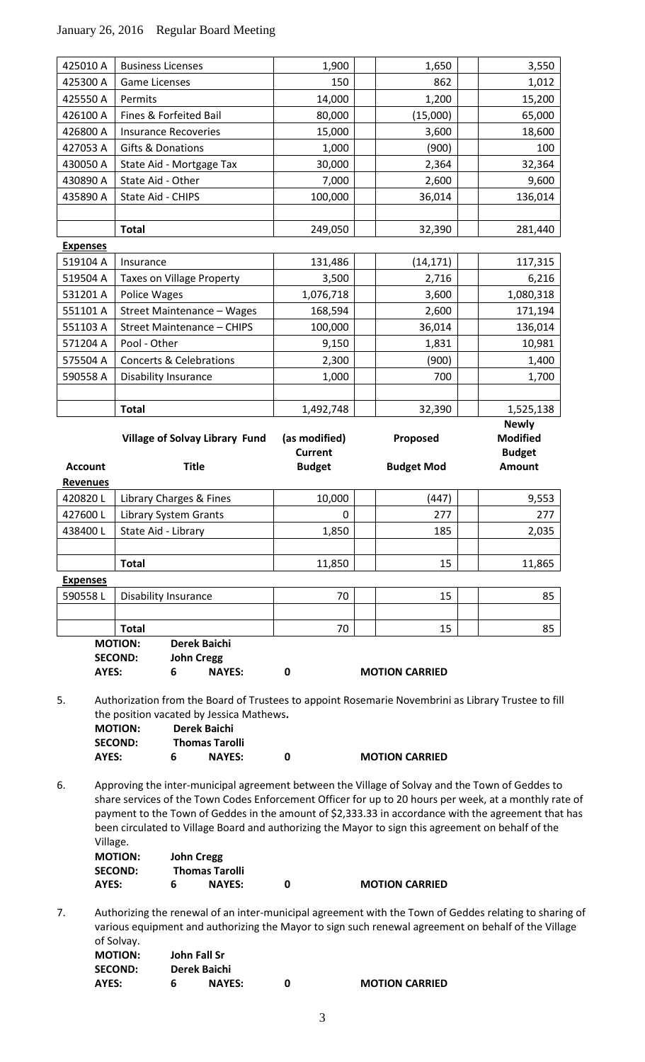# January 26, 2016 Regular Board Meeting

| <b>AYES:</b>               | <b>SECOND:</b><br><b>John Cregg</b><br>6<br><b>NAYES:</b> | 0                               | <b>MOTION CARRIED</b> |                                                  |
|----------------------------|-----------------------------------------------------------|---------------------------------|-----------------------|--------------------------------------------------|
|                            | <b>Total</b><br><b>MOTION:</b><br><b>Derek Baichi</b>     | 70                              | 15                    | 85                                               |
| 590558L                    | <b>Disability Insurance</b>                               | 70                              | 15                    | 85                                               |
| <b>Expenses</b>            |                                                           |                                 |                       |                                                  |
|                            | <b>Total</b>                                              | 11,850                          | 15                    | 11,865                                           |
|                            |                                                           |                                 |                       |                                                  |
| 438400L                    | State Aid - Library                                       | 1,850                           | 185                   | 2,035                                            |
| 427600L                    | <b>Library System Grants</b>                              | $\mathbf 0$                     | 277                   | 277                                              |
| <b>Revenues</b><br>420820L | Library Charges & Fines                                   | 10,000                          | (447)                 | 9,553                                            |
| <b>Account</b>             | <b>Title</b>                                              | <b>Budget</b>                   | <b>Budget Mod</b>     | <b>Amount</b>                                    |
|                            | Village of Solvay Library Fund                            | (as modified)<br><b>Current</b> | Proposed              | <b>Newly</b><br><b>Modified</b><br><b>Budget</b> |
|                            | <b>Total</b>                                              | 1,492,748                       | 32,390                | 1,525,138                                        |
| 590558 A                   | <b>Disability Insurance</b>                               | 1,000                           | 700                   | 1,700                                            |
| 575504 A                   | <b>Concerts &amp; Celebrations</b>                        | 2,300                           | (900)                 | 1,400                                            |
| 571204 A                   | Pool - Other                                              | 9,150                           | 1,831                 | 10,981                                           |
| 551103 A                   | <b>Street Maintenance - CHIPS</b>                         | 100,000                         | 36,014                | 136,014                                          |
| 551101 A                   | Street Maintenance - Wages                                | 168,594                         | 2,600                 | 171,194                                          |
| 531201 A                   | <b>Police Wages</b>                                       | 1,076,718                       | 3,600                 | 1,080,318                                        |
| 519504 A                   | <b>Taxes on Village Property</b>                          | 3,500                           | 2,716                 | 6,216                                            |
| 519104 A                   | Insurance                                                 | 131,486                         | (14, 171)             | 117,315                                          |
| <b>Expenses</b>            |                                                           |                                 |                       |                                                  |
|                            | <b>Total</b>                                              | 249,050                         | 32,390                | 281,440                                          |
|                            |                                                           |                                 |                       |                                                  |
| 435890 A                   | State Aid - CHIPS                                         | 100,000                         | 36,014                | 136,014                                          |
| 430890 A                   | State Aid - Other                                         | 7,000                           | 2,600                 | 9,600                                            |
| 430050 A                   | State Aid - Mortgage Tax                                  | 30,000                          | 2,364                 | 32,364                                           |
| 427053 A                   | Gifts & Donations                                         | 1,000                           | (900)                 | 100                                              |
| 426800 A                   | <b>Insurance Recoveries</b>                               | 15,000                          | 3,600                 | 18,600                                           |
| 426100 A                   | Fines & Forfeited Bail                                    | 80,000                          | (15,000)              | 65,000                                           |
| 425550 A                   | Permits                                                   | 14,000                          | 1,200                 | 15,200                                           |
| 425300 A                   | <b>Game Licenses</b>                                      | 150                             | 862                   | 1,012                                            |

5. Authorization from the Board of Trustees to appoint Rosemarie Novembrini as Library Trustee to fill the position vacated by Jessica Mathews**.**

| <b>MOTION:</b> | Derek Baichi          |                       |
|----------------|-----------------------|-----------------------|
| <b>SECOND:</b> | <b>Thomas Tarolli</b> |                       |
| AYES:          | <b>NAYES:</b>         | <b>MOTION CARRIED</b> |

6. Approving the inter-municipal agreement between the Village of Solvay and the Town of Geddes to share services of the Town Codes Enforcement Officer for up to 20 hours per week, at a monthly rate of payment to the Town of Geddes in the amount of \$2,333.33 in accordance with the agreement that has been circulated to Village Board and authorizing the Mayor to sign this agreement on behalf of the Village.

| <b>MOTION:</b> | <b>John Cregg</b>     |                       |
|----------------|-----------------------|-----------------------|
| <b>SECOND:</b> | <b>Thomas Tarolli</b> |                       |
| AYES:          | <b>NAYES:</b>         | <b>MOTION CARRIED</b> |

7. Authorizing the renewal of an inter-municipal agreement with the Town of Geddes relating to sharing of various equipment and authorizing the Mayor to sign such renewal agreement on behalf of the Village of Solvay. **MOTION: John Fall Sr**

| .              |               |                       |
|----------------|---------------|-----------------------|
| <b>SECOND:</b> | Derek Baichi  |                       |
| AYES:          | <b>NAYES:</b> | <b>MOTION CARRIED</b> |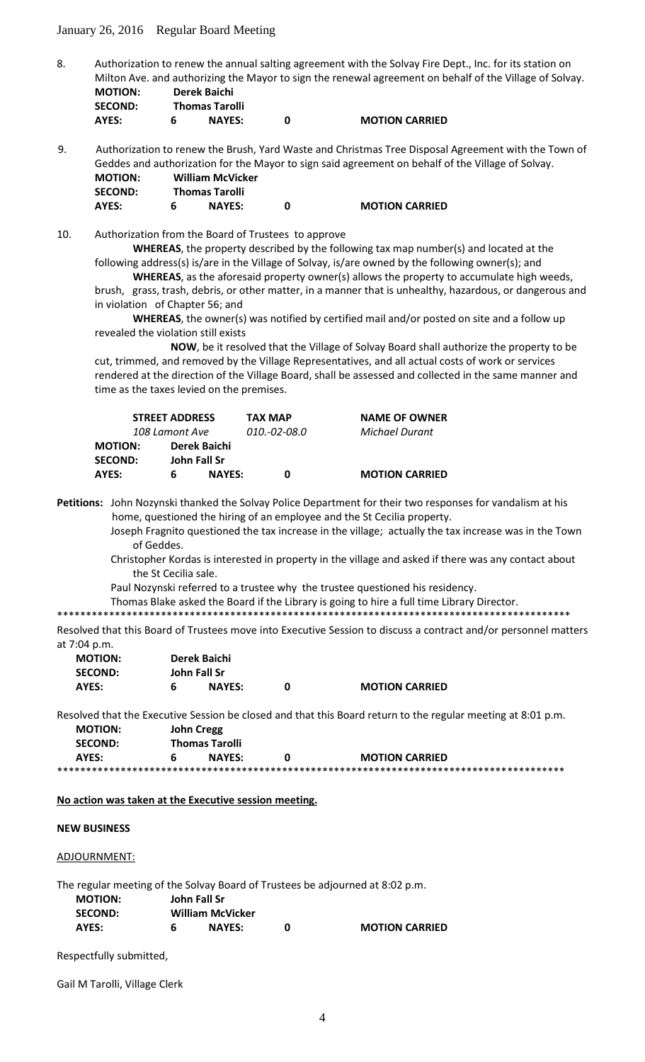January 26, 2016 Regular Board Meeting

8. Authorization to renew the annual salting agreement with the Solvay Fire Dept., Inc. for its station on Milton Ave. and authorizing the Mayor to sign the renewal agreement on behalf of the Village of Solvay. **MOTION: Derek Baichi**

| <b>SECOND:</b> | <b>Thomas Tarolli</b> |                       |
|----------------|-----------------------|-----------------------|
| <b>AYES:</b>   | <b>NAYES:</b>         | <b>MOTION CARRIED</b> |

9. Authorization to renew the Brush, Yard Waste and Christmas Tree Disposal Agreement with the Town of Geddes and authorization for the Mayor to sign said agreement on behalf of the Village of Solvay. **MOTION: William McVicker SECOND: Thomas Tarolli AYES: 6 NAYES: 0 MOTION CARRIED**

10. Authorization from the Board of Trustees to approve

**WHEREAS**, the property described by the following tax map number(s) and located at the following address(s) is/are in the Village of Solvay, is/are owned by the following owner(s); and

**WHEREAS**, as the aforesaid property owner(s) allows the property to accumulate high weeds, brush, grass, trash, debris, or other matter, in a manner that is unhealthy, hazardous, or dangerous and in violation of Chapter 56; and

**WHEREAS**, the owner(s) was notified by certified mail and/or posted on site and a follow up revealed the violation still exists

**NOW**, be it resolved that the Village of Solvay Board shall authorize the property to be cut, trimmed, and removed by the Village Representatives, and all actual costs of work or services rendered at the direction of the Village Board, shall be assessed and collected in the same manner and time as the taxes levied on the premises.

|                | <b>STREET ADDRESS</b> |                     | <b>TAX MAP</b>        | <b>NAME OF OWNER</b>  |
|----------------|-----------------------|---------------------|-----------------------|-----------------------|
| 108 Lamont Ave |                       | <i>010.-02-08.0</i> | <b>Michael Durant</b> |                       |
| <b>MOTION:</b> | Derek Baichi          |                     |                       |                       |
| <b>SECOND:</b> | John Fall Sr          |                     |                       |                       |
| AYES:          | 6                     | <b>NAYES:</b>       | 0                     | <b>MOTION CARRIED</b> |

**Petitions:** John Nozynski thanked the Solvay Police Department for their two responses for vandalism at his home, questioned the hiring of an employee and the St Cecilia property.

Joseph Fragnito questioned the tax increase in the village; actually the tax increase was in the Town of Geddes.

 Christopher Kordas is interested in property in the village and asked if there was any contact about the St Cecilia sale.

Paul Nozynski referred to a trustee why the trustee questioned his residency.

Thomas Blake asked the Board if the Library is going to hire a full time Library Director.

\*\*\*\*\*\*\*\*\*\*\*\*\*\*\*\*\*\*\*\*\*\*\*\*\*\*\*\*\*\*\*\*\*\*\*\*\*\*\*\*\*\*\*\*\*\*\*\*\*\*\*\*\*\*\*\*\*\*\*\*\*\*\*\*\*\*\*\*\*\*\*\*\*\*\*\*\*\*\*\*\*\*\*\*\*\*\*\*\*

Resolved that this Board of Trustees move into Executive Session to discuss a contract and/or personnel matters at 7:04 p.m.

| <b>MOTION:</b> | Derek Baichi |               |                       |
|----------------|--------------|---------------|-----------------------|
| <b>SECOND:</b> | John Fall Sr |               |                       |
| AYES:          |              | <b>NAYES:</b> | <b>MOTION CARRIED</b> |

Resolved that the Executive Session be closed and that this Board return to the regular meeting at 8:01 p.m.

| <b>MOTION:</b> | <b>John Cregg</b>     |   |                       |
|----------------|-----------------------|---|-----------------------|
| <b>SECOND:</b> | <b>Thomas Tarolli</b> |   |                       |
| AYES:          | <b>NAYES:</b>         | n | <b>MOTION CARRIED</b> |
|                |                       |   |                       |

**No action was taken at the Executive session meeting.**

## **NEW BUSINESS**

ADJOURNMENT:

The regular meeting of the Solvay Board of Trustees be adjourned at 8:02 p.m. **MOTION: John Fall Sr SECOND: William McVicker AYES: 6 NAYES: 0 MOTION CARRIED**

Respectfully submitted,

Gail M Tarolli, Village Clerk